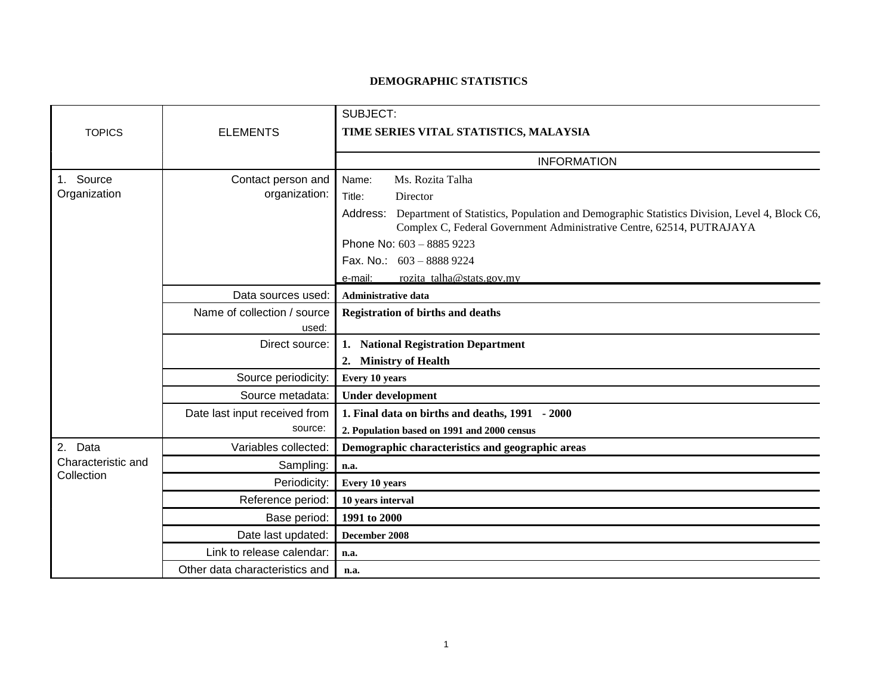## **DEMOGRAPHIC STATISTICS**

|                                                |                                | SUBJECT:                                                                                                                                                                       |
|------------------------------------------------|--------------------------------|--------------------------------------------------------------------------------------------------------------------------------------------------------------------------------|
| <b>TOPICS</b>                                  | <b>ELEMENTS</b>                | TIME SERIES VITAL STATISTICS, MALAYSIA                                                                                                                                         |
|                                                |                                |                                                                                                                                                                                |
|                                                |                                | <b>INFORMATION</b>                                                                                                                                                             |
| 1. Source<br>Organization                      | Contact person and             | Ms. Rozita Talha<br>Name:                                                                                                                                                      |
|                                                | organization:                  | Title:<br>Director                                                                                                                                                             |
|                                                |                                | Address: Department of Statistics, Population and Demographic Statistics Division, Level 4, Block C6,<br>Complex C, Federal Government Administrative Centre, 62514, PUTRAJAYA |
|                                                |                                | Phone No: 603 - 8885 9223                                                                                                                                                      |
|                                                |                                | Fax. No.: 603 - 8888 9224                                                                                                                                                      |
|                                                |                                | rozita talha@stats.gov.my<br>e-mail:                                                                                                                                           |
|                                                | Data sources used:             | <b>Administrative data</b>                                                                                                                                                     |
|                                                | Name of collection / source    | <b>Registration of births and deaths</b>                                                                                                                                       |
|                                                | used:                          |                                                                                                                                                                                |
|                                                | Direct source:                 | 1. National Registration Department                                                                                                                                            |
|                                                |                                | 2. Ministry of Health                                                                                                                                                          |
|                                                | Source periodicity:            | Every 10 years                                                                                                                                                                 |
|                                                | Source metadata:               | <b>Under development</b>                                                                                                                                                       |
|                                                | Date last input received from  | 1. Final data on births and deaths, 1991 - 2000                                                                                                                                |
|                                                | source:                        | 2. Population based on 1991 and 2000 census                                                                                                                                    |
| 2.<br>Data<br>Characteristic and<br>Collection | Variables collected:           | Demographic characteristics and geographic areas                                                                                                                               |
|                                                | Sampling:                      | n.a.                                                                                                                                                                           |
|                                                | Periodicity:                   | <b>Every 10 years</b>                                                                                                                                                          |
|                                                | Reference period:              | 10 years interval                                                                                                                                                              |
|                                                | Base period:                   | 1991 to 2000                                                                                                                                                                   |
|                                                | Date last updated:             | December 2008                                                                                                                                                                  |
|                                                | Link to release calendar:      | n.a.                                                                                                                                                                           |
|                                                | Other data characteristics and | n.a.                                                                                                                                                                           |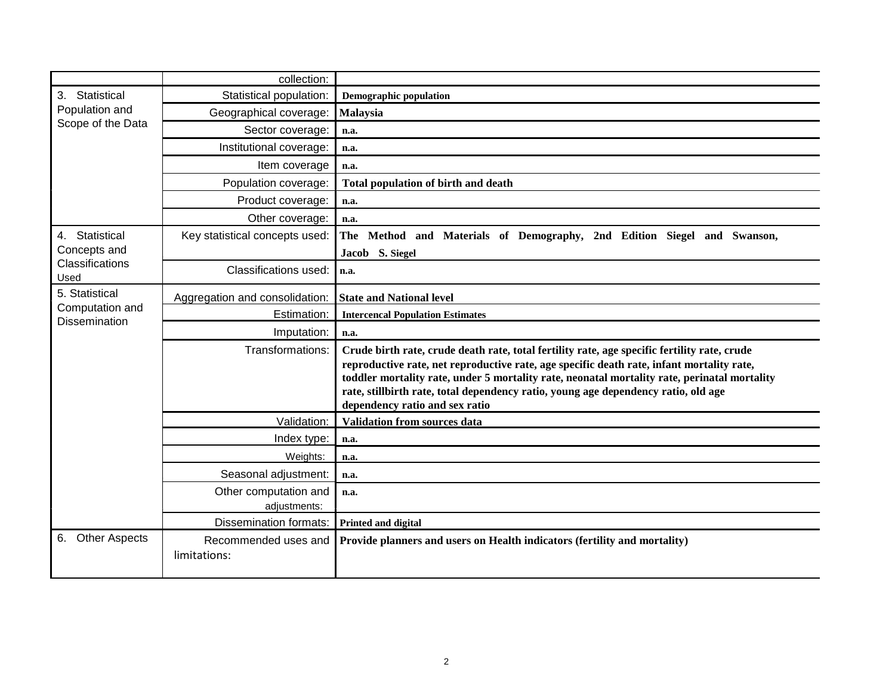|                                                           | collection:                          |                                                                                                                                                                                                                                                                                                                                                                                                                   |
|-----------------------------------------------------------|--------------------------------------|-------------------------------------------------------------------------------------------------------------------------------------------------------------------------------------------------------------------------------------------------------------------------------------------------------------------------------------------------------------------------------------------------------------------|
| Statistical<br>3.<br>Population and<br>Scope of the Data  | Statistical population:              | <b>Demographic population</b>                                                                                                                                                                                                                                                                                                                                                                                     |
|                                                           | Geographical coverage:               | Malaysia                                                                                                                                                                                                                                                                                                                                                                                                          |
|                                                           | Sector coverage:                     | n.a.                                                                                                                                                                                                                                                                                                                                                                                                              |
|                                                           | Institutional coverage:              | n.a.                                                                                                                                                                                                                                                                                                                                                                                                              |
|                                                           | Item coverage                        | n.a.                                                                                                                                                                                                                                                                                                                                                                                                              |
|                                                           | Population coverage:                 | Total population of birth and death                                                                                                                                                                                                                                                                                                                                                                               |
|                                                           | Product coverage:                    | n.a.                                                                                                                                                                                                                                                                                                                                                                                                              |
|                                                           | Other coverage:                      | n.a.                                                                                                                                                                                                                                                                                                                                                                                                              |
| 4. Statistical<br>Concepts and<br>Classifications<br>Used | Key statistical concepts used:       | Method and Materials of Demography, 2nd Edition Siegel and Swanson,<br>The                                                                                                                                                                                                                                                                                                                                        |
|                                                           |                                      | Jacob S. Siegel                                                                                                                                                                                                                                                                                                                                                                                                   |
|                                                           | Classifications used:                | n.a.                                                                                                                                                                                                                                                                                                                                                                                                              |
| 5. Statistical                                            | Aggregation and consolidation:       | <b>State and National level</b>                                                                                                                                                                                                                                                                                                                                                                                   |
| Computation and<br><b>Dissemination</b>                   | Estimation:                          | <b>Intercencal Population Estimates</b>                                                                                                                                                                                                                                                                                                                                                                           |
|                                                           | Imputation:                          | n.a.                                                                                                                                                                                                                                                                                                                                                                                                              |
|                                                           | Transformations:                     | Crude birth rate, crude death rate, total fertility rate, age specific fertility rate, crude<br>reproductive rate, net reproductive rate, age specific death rate, infant mortality rate,<br>toddler mortality rate, under 5 mortality rate, neonatal mortality rate, perinatal mortality<br>rate, stillbirth rate, total dependency ratio, young age dependency ratio, old age<br>dependency ratio and sex ratio |
|                                                           | Validation:                          | <b>Validation from sources data</b>                                                                                                                                                                                                                                                                                                                                                                               |
|                                                           | Index type:                          | n.a.                                                                                                                                                                                                                                                                                                                                                                                                              |
|                                                           | Weights:                             | n.a.                                                                                                                                                                                                                                                                                                                                                                                                              |
|                                                           | Seasonal adjustment:                 | n.a.                                                                                                                                                                                                                                                                                                                                                                                                              |
|                                                           | Other computation and                | n.a.                                                                                                                                                                                                                                                                                                                                                                                                              |
|                                                           | adjustments:                         |                                                                                                                                                                                                                                                                                                                                                                                                                   |
|                                                           | <b>Dissemination formats:</b>        | <b>Printed and digital</b>                                                                                                                                                                                                                                                                                                                                                                                        |
| <b>Other Aspects</b><br>6.                                | Recommended uses and<br>limitations: | Provide planners and users on Health indicators (fertility and mortality)                                                                                                                                                                                                                                                                                                                                         |